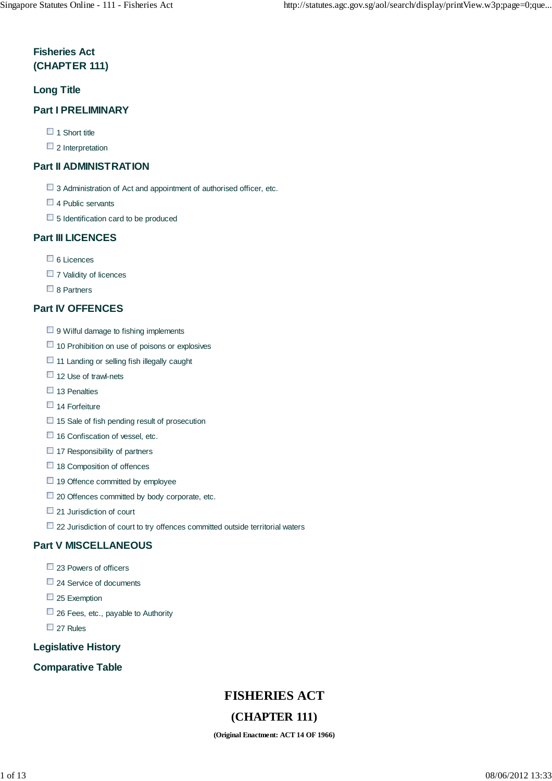### **Fisheries Act (CHAPTER 111)**

#### **Long Title**

#### **Part I PRELIMINARY**

- $\Box$  1 Short title
- $\Box$  2 Interpretation

#### **Part II ADMINISTRATION**

- $\Box$  3 Administration of Act and appointment of authorised officer, etc.
- □ 4 Public servants
- $\Box$  5 Identification card to be produced

#### **Part III LICENCES**

- □ 6 Licences
- $\Box$  7 Validity of licences
- □ 8 Partners

#### **Part IV OFFENCES**

- $\Box$  9 Wilful damage to fishing implements
- $\Box$  10 Prohibition on use of poisons or explosives
- $\Box$  11 Landing or selling fish illegally caught
- $\Box$  12 Use of trawl-nets
- $\Box$  13 Penalties
- $\Box$  14 Forfeiture
- $\Box$  15 Sale of fish pending result of prosecution
- $\Box$  16 Confiscation of vessel, etc.
- $\Box$  17 Responsibility of partners
- $\Box$  18 Composition of offences
- $\Box$  19 Offence committed by employee
- $\Box$  20 Offences committed by body corporate, etc.
- 21 Jurisdiction of court
- $\Box$  22 Jurisdiction of court to try offences committed outside territorial waters

#### **Part V MISCELLANEOUS**

- $\Box$  23 Powers of officers
- □ 24 Service of documents
- $\Box$  25 Exemption
- $\Box$  26 Fees, etc., payable to Authority
- 27 Rules

#### **Legislative History**

#### **Comparative Table**

# **FISHERIES ACT**

### **(CHAPTER 111)**

**(Original Enactment: ACT 14 OF 1966)**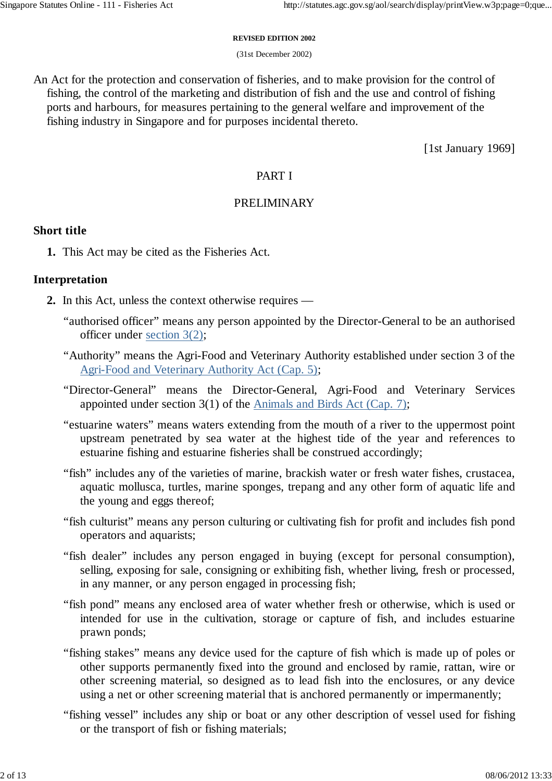#### **REVISED EDITION 2002**

(31st December 2002)

An Act for the protection and conservation of fisheries, and to make provision for the control of fishing, the control of the marketing and distribution of fish and the use and control of fishing ports and harbours, for measures pertaining to the general welfare and improvement of the fishing industry in Singapore and for purposes incidental thereto.

[1st January 1969]

### PART I

### PRELIMINARY

### **Short title**

**1.** This Act may be cited as the Fisheries Act.

### **Interpretation**

- **2.** In this Act, unless the context otherwise requires
	- "authorised officer" means any person appointed by the Director-General to be an authorised officer under section 3(2);
	- "Authority" means the Agri-Food and Veterinary Authority established under section 3 of the Agri-Food and Veterinary Authority Act (Cap. 5);
	- "Director-General" means the Director-General, Agri-Food and Veterinary Services appointed under section 3(1) of the Animals and Birds Act (Cap. 7);
	- "estuarine waters" means waters extending from the mouth of a river to the uppermost point upstream penetrated by sea water at the highest tide of the year and references to estuarine fishing and estuarine fisheries shall be construed accordingly;
	- "fish" includes any of the varieties of marine, brackish water or fresh water fishes, crustacea, aquatic mollusca, turtles, marine sponges, trepang and any other form of aquatic life and the young and eggs thereof;
	- "fish culturist" means any person culturing or cultivating fish for profit and includes fish pond operators and aquarists;
	- "fish dealer" includes any person engaged in buying (except for personal consumption), selling, exposing for sale, consigning or exhibiting fish, whether living, fresh or processed, in any manner, or any person engaged in processing fish;
	- "fish pond" means any enclosed area of water whether fresh or otherwise, which is used or intended for use in the cultivation, storage or capture of fish, and includes estuarine prawn ponds;
	- "fishing stakes" means any device used for the capture of fish which is made up of poles or other supports permanently fixed into the ground and enclosed by ramie, rattan, wire or other screening material, so designed as to lead fish into the enclosures, or any device using a net or other screening material that is anchored permanently or impermanently;
	- "fishing vessel" includes any ship or boat or any other description of vessel used for fishing or the transport of fish or fishing materials;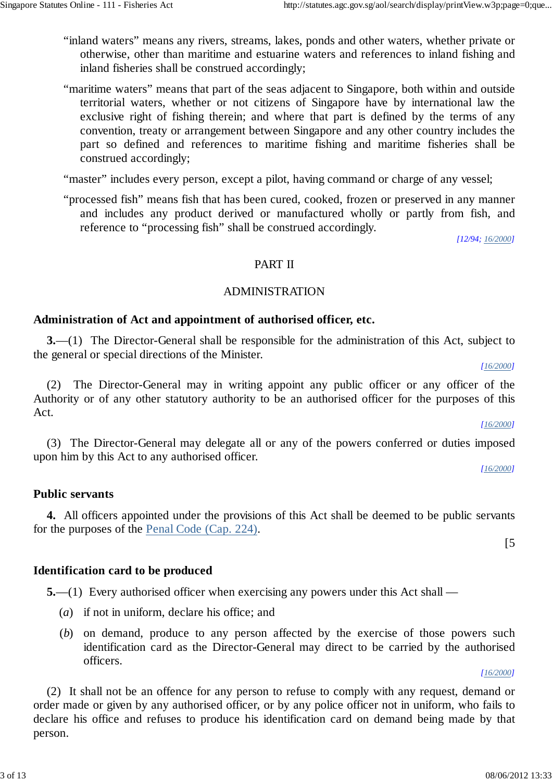- "inland waters" means any rivers, streams, lakes, ponds and other waters, whether private or otherwise, other than maritime and estuarine waters and references to inland fishing and inland fisheries shall be construed accordingly;
- "maritime waters" means that part of the seas adjacent to Singapore, both within and outside territorial waters, whether or not citizens of Singapore have by international law the exclusive right of fishing therein; and where that part is defined by the terms of any convention, treaty or arrangement between Singapore and any other country includes the part so defined and references to maritime fishing and maritime fisheries shall be construed accordingly;

"master" includes every person, except a pilot, having command or charge of any vessel;

"processed fish" means fish that has been cured, cooked, frozen or preserved in any manner and includes any product derived or manufactured wholly or partly from fish, and reference to "processing fish" shall be construed accordingly.

*[12/94; 16/2000]*

#### PART II

#### ADMINISTRATION

### **Administration of Act and appointment of authorised officer, etc.**

**3.**—(1) The Director-General shall be responsible for the administration of this Act, subject to the general or special directions of the Minister.

(2) The Director-General may in writing appoint any public officer or any officer of the Authority or of any other statutory authority to be an authorised officer for the purposes of this Act.

(3) The Director-General may delegate all or any of the powers conferred or duties imposed upon him by this Act to any authorised officer.

*[16/2000]*

*[16/2000]*

*[16/2000]*

[5

#### **Public servants**

**4.** All officers appointed under the provisions of this Act shall be deemed to be public servants for the purposes of the Penal Code (Cap. 224).

#### **Identification card to be produced**

**5.**—(1) Every authorised officer when exercising any powers under this Act shall —

- (*a*) if not in uniform, declare his office; and
- (*b*) on demand, produce to any person affected by the exercise of those powers such identification card as the Director-General may direct to be carried by the authorised officers.

*[16/2000]*

(2) It shall not be an offence for any person to refuse to comply with any request, demand or order made or given by any authorised officer, or by any police officer not in uniform, who fails to declare his office and refuses to produce his identification card on demand being made by that person.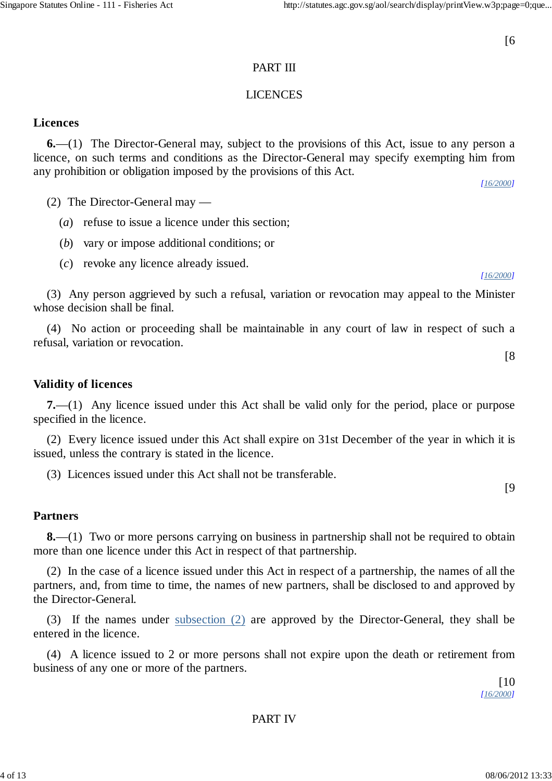# [6

# PART III

### LICENCES

# **Licences**

**6.**—(1) The Director-General may, subject to the provisions of this Act, issue to any person a licence, on such terms and conditions as the Director-General may specify exempting him from any prohibition or obligation imposed by the provisions of this Act.

(2) The Director-General may —

- (*a*) refuse to issue a licence under this section;
- (*b*) vary or impose additional conditions; or
- (*c*) revoke any licence already issued.

*[16/2000]*

*[16/2000]*

[8

[9

(3) Any person aggrieved by such a refusal, variation or revocation may appeal to the Minister whose decision shall be final.

(4) No action or proceeding shall be maintainable in any court of law in respect of such a refusal, variation or revocation.

**Validity of licences**

**7.**—(1) Any licence issued under this Act shall be valid only for the period, place or purpose specified in the licence.

(2) Every licence issued under this Act shall expire on 31st December of the year in which it is issued, unless the contrary is stated in the licence.

(3) Licences issued under this Act shall not be transferable.

# **Partners**

**8.**—(1) Two or more persons carrying on business in partnership shall not be required to obtain more than one licence under this Act in respect of that partnership.

(2) In the case of a licence issued under this Act in respect of a partnership, the names of all the partners, and, from time to time, the names of new partners, shall be disclosed to and approved by the Director-General.

(3) If the names under subsection (2) are approved by the Director-General, they shall be entered in the licence.

(4) A licence issued to 2 or more persons shall not expire upon the death or retirement from business of any one or more of the partners.

> $[10$ *[16/2000]*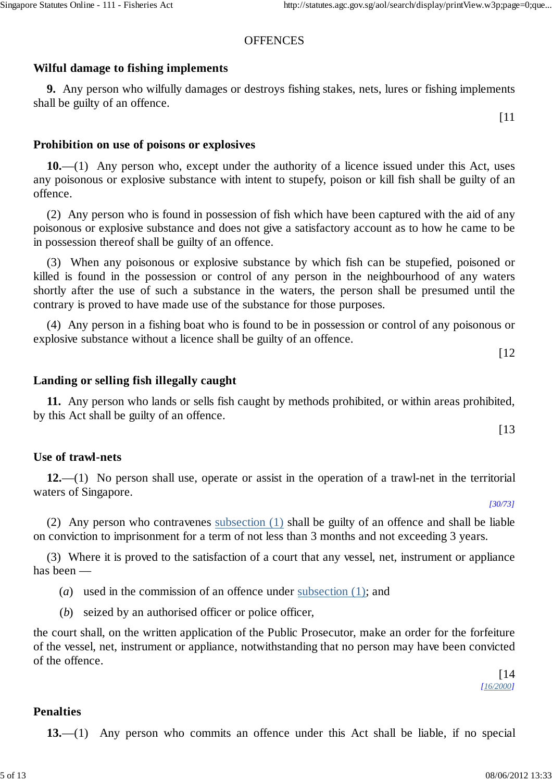# **OFFENCES**

# **Wilful damage to fishing implements**

**9.** Any person who wilfully damages or destroys fishing stakes, nets, lures or fishing implements shall be guilty of an offence.

[11

# **Prohibition on use of poisons or explosives**

**10.**—(1) Any person who, except under the authority of a licence issued under this Act, uses any poisonous or explosive substance with intent to stupefy, poison or kill fish shall be guilty of an offence.

(2) Any person who is found in possession of fish which have been captured with the aid of any poisonous or explosive substance and does not give a satisfactory account as to how he came to be in possession thereof shall be guilty of an offence.

(3) When any poisonous or explosive substance by which fish can be stupefied, poisoned or killed is found in the possession or control of any person in the neighbourhood of any waters shortly after the use of such a substance in the waters, the person shall be presumed until the contrary is proved to have made use of the substance for those purposes.

(4) Any person in a fishing boat who is found to be in possession or control of any poisonous or explosive substance without a licence shall be guilty of an offence.

[12

[13

### **Landing or selling fish illegally caught**

**11.** Any person who lands or sells fish caught by methods prohibited, or within areas prohibited, by this Act shall be guilty of an offence.

# **Use of trawl-nets**

**12.**—(1) No person shall use, operate or assist in the operation of a trawl-net in the territorial waters of Singapore.

*[30/73]*

(2) Any person who contravenes subsection (1) shall be guilty of an offence and shall be liable on conviction to imprisonment for a term of not less than 3 months and not exceeding 3 years.

(3) Where it is proved to the satisfaction of a court that any vessel, net, instrument or appliance has been —

- (*a*) used in the commission of an offence under subsection (1); and
- (*b*) seized by an authorised officer or police officer,

the court shall, on the written application of the Public Prosecutor, make an order for the forfeiture of the vessel, net, instrument or appliance, notwithstanding that no person may have been convicted of the offence.

[14 *[16/2000]*

### **Penalties**

**13.**—(1) Any person who commits an offence under this Act shall be liable, if no special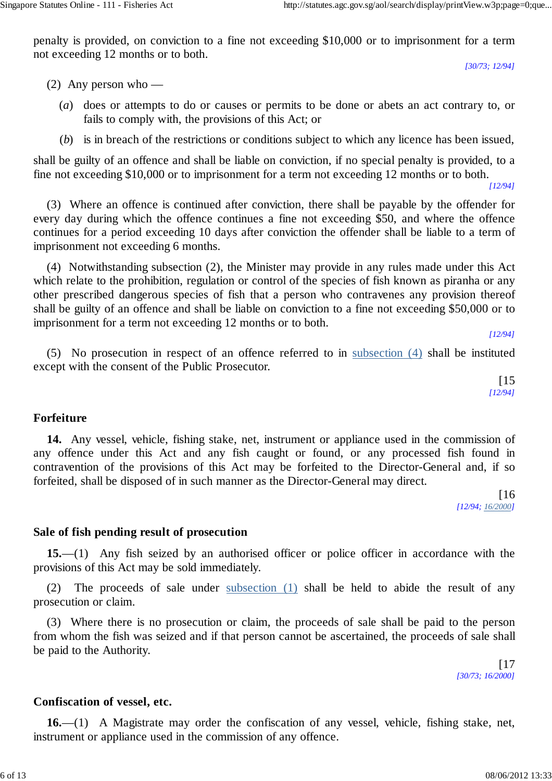penalty is provided, on conviction to a fine not exceeding \$10,000 or to imprisonment for a term not exceeding 12 months or to both.

*[30/73; 12/94]*

(2) Any person who —

- (*a*) does or attempts to do or causes or permits to be done or abets an act contrary to, or fails to comply with, the provisions of this Act; or
- (*b*) is in breach of the restrictions or conditions subject to which any licence has been issued,

shall be guilty of an offence and shall be liable on conviction, if no special penalty is provided, to a fine not exceeding \$10,000 or to imprisonment for a term not exceeding 12 months or to both.

*[12/94]*

(3) Where an offence is continued after conviction, there shall be payable by the offender for every day during which the offence continues a fine not exceeding \$50, and where the offence continues for a period exceeding 10 days after conviction the offender shall be liable to a term of imprisonment not exceeding 6 months.

(4) Notwithstanding subsection (2), the Minister may provide in any rules made under this Act which relate to the prohibition, regulation or control of the species of fish known as piranha or any other prescribed dangerous species of fish that a person who contravenes any provision thereof shall be guilty of an offence and shall be liable on conviction to a fine not exceeding \$50,000 or to imprisonment for a term not exceeding 12 months or to both.

*[12/94]*

(5) No prosecution in respect of an offence referred to in subsection (4) shall be instituted except with the consent of the Public Prosecutor.

> [15 *[12/94]*

# **Forfeiture**

**14.** Any vessel, vehicle, fishing stake, net, instrument or appliance used in the commission of any offence under this Act and any fish caught or found, or any processed fish found in contravention of the provisions of this Act may be forfeited to the Director-General and, if so forfeited, shall be disposed of in such manner as the Director-General may direct.

[16 *[12/94; 16/2000]*

# **Sale of fish pending result of prosecution**

**15.**—(1) Any fish seized by an authorised officer or police officer in accordance with the provisions of this Act may be sold immediately.

(2) The proceeds of sale under subsection (1) shall be held to abide the result of any prosecution or claim.

(3) Where there is no prosecution or claim, the proceeds of sale shall be paid to the person from whom the fish was seized and if that person cannot be ascertained, the proceeds of sale shall be paid to the Authority.

> $[17]$ *[30/73; 16/2000]*

# **Confiscation of vessel, etc.**

**16.**—(1) A Magistrate may order the confiscation of any vessel, vehicle, fishing stake, net, instrument or appliance used in the commission of any offence.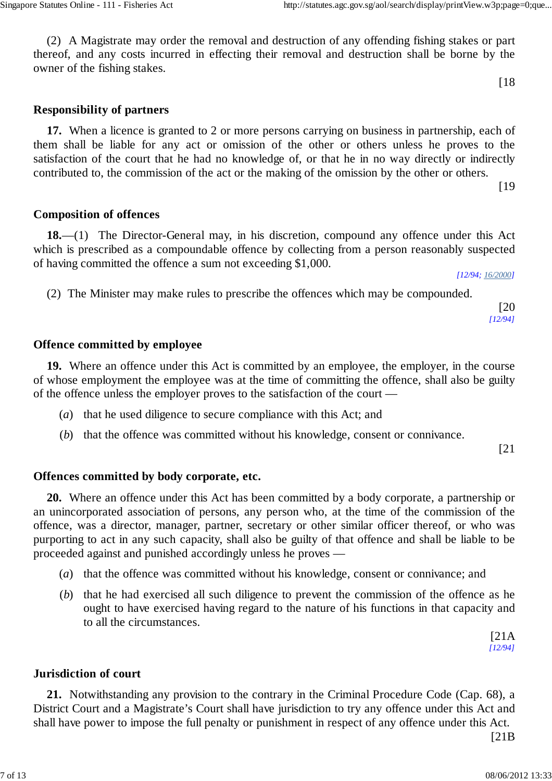(2) A Magistrate may order the removal and destruction of any offending fishing stakes or part thereof, and any costs incurred in effecting their removal and destruction shall be borne by the owner of the fishing stakes.

[18

# **Responsibility of partners**

**17.** When a licence is granted to 2 or more persons carrying on business in partnership, each of them shall be liable for any act or omission of the other or others unless he proves to the satisfaction of the court that he had no knowledge of, or that he in no way directly or indirectly contributed to, the commission of the act or the making of the omission by the other or others.

[19

# **Composition of offences**

**18.**—(1) The Director-General may, in his discretion, compound any offence under this Act which is prescribed as a compoundable offence by collecting from a person reasonably suspected of having committed the offence a sum not exceeding \$1,000.

*[12/94; 16/2000]*

(2) The Minister may make rules to prescribe the offences which may be compounded.

[20 *[12/94]*

### **Offence committed by employee**

**19.** Where an offence under this Act is committed by an employee, the employer, in the course of whose employment the employee was at the time of committing the offence, shall also be guilty of the offence unless the employer proves to the satisfaction of the court —

- (*a*) that he used diligence to secure compliance with this Act; and
- (*b*) that the offence was committed without his knowledge, consent or connivance.

[21

### **Offences committed by body corporate, etc.**

**20.** Where an offence under this Act has been committed by a body corporate, a partnership or an unincorporated association of persons, any person who, at the time of the commission of the offence, was a director, manager, partner, secretary or other similar officer thereof, or who was purporting to act in any such capacity, shall also be guilty of that offence and shall be liable to be proceeded against and punished accordingly unless he proves —

- (*a*) that the offence was committed without his knowledge, consent or connivance; and
- (*b*) that he had exercised all such diligence to prevent the commission of the offence as he ought to have exercised having regard to the nature of his functions in that capacity and to all the circumstances.

[21A *[12/94]*

### **Jurisdiction of court**

**21.** Notwithstanding any provision to the contrary in the Criminal Procedure Code (Cap. 68), a District Court and a Magistrate's Court shall have jurisdiction to try any offence under this Act and shall have power to impose the full penalty or punishment in respect of any offence under this Act.

[21B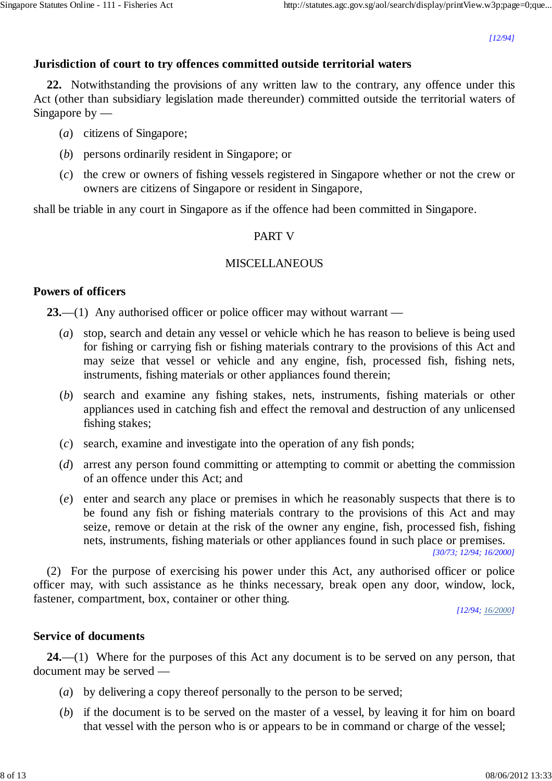*[12/94]*

### **Jurisdiction of court to try offences committed outside territorial waters**

**22.** Notwithstanding the provisions of any written law to the contrary, any offence under this Act (other than subsidiary legislation made thereunder) committed outside the territorial waters of Singapore by  $-$ 

- (*a*) citizens of Singapore;
- (*b*) persons ordinarily resident in Singapore; or
- (*c*) the crew or owners of fishing vessels registered in Singapore whether or not the crew or owners are citizens of Singapore or resident in Singapore,

shall be triable in any court in Singapore as if the offence had been committed in Singapore.

### PART V

#### MISCELLANEOUS

#### **Powers of officers**

**23.**—(1) Any authorised officer or police officer may without warrant —

- (*a*) stop, search and detain any vessel or vehicle which he has reason to believe is being used for fishing or carrying fish or fishing materials contrary to the provisions of this Act and may seize that vessel or vehicle and any engine, fish, processed fish, fishing nets, instruments, fishing materials or other appliances found therein;
- (*b*) search and examine any fishing stakes, nets, instruments, fishing materials or other appliances used in catching fish and effect the removal and destruction of any unlicensed fishing stakes;
- (*c*) search, examine and investigate into the operation of any fish ponds;
- (*d*) arrest any person found committing or attempting to commit or abetting the commission of an offence under this Act; and
- (*e*) enter and search any place or premises in which he reasonably suspects that there is to be found any fish or fishing materials contrary to the provisions of this Act and may seize, remove or detain at the risk of the owner any engine, fish, processed fish, fishing nets, instruments, fishing materials or other appliances found in such place or premises.

*[30/73; 12/94; 16/2000]*

(2) For the purpose of exercising his power under this Act, any authorised officer or police officer may, with such assistance as he thinks necessary, break open any door, window, lock, fastener, compartment, box, container or other thing.

*[12/94; 16/2000]*

#### **Service of documents**

**24.**—(1) Where for the purposes of this Act any document is to be served on any person, that document may be served —

- (*a*) by delivering a copy thereof personally to the person to be served;
- (*b*) if the document is to be served on the master of a vessel, by leaving it for him on board that vessel with the person who is or appears to be in command or charge of the vessel;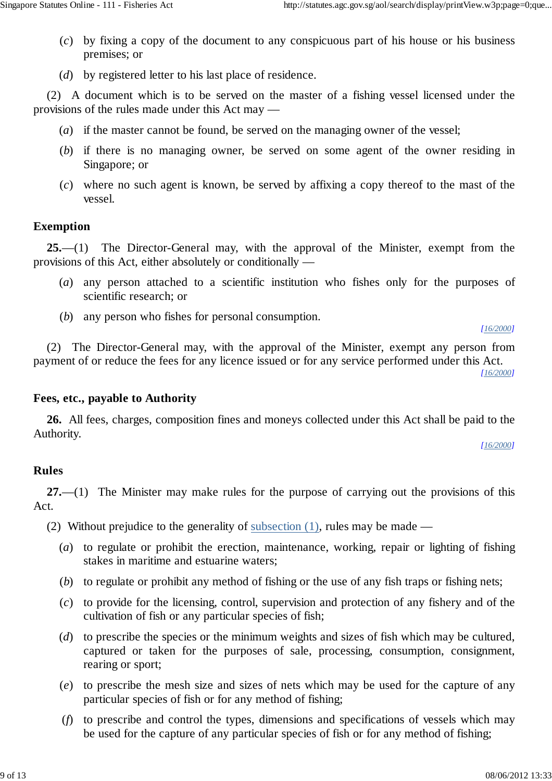- (*c*) by fixing a copy of the document to any conspicuous part of his house or his business premises; or
- (*d*) by registered letter to his last place of residence.

(2) A document which is to be served on the master of a fishing vessel licensed under the provisions of the rules made under this Act may —

- (*a*) if the master cannot be found, be served on the managing owner of the vessel;
- (*b*) if there is no managing owner, be served on some agent of the owner residing in Singapore; or
- (*c*) where no such agent is known, be served by affixing a copy thereof to the mast of the vessel.

# **Exemption**

**25.**—(1) The Director-General may, with the approval of the Minister, exempt from the provisions of this Act, either absolutely or conditionally —

- (*a*) any person attached to a scientific institution who fishes only for the purposes of scientific research; or
- (*b*) any person who fishes for personal consumption.

(2) The Director-General may, with the approval of the Minister, exempt any person from payment of or reduce the fees for any licence issued or for any service performed under this Act.

*[16/2000]*

*[16/2000]*

# **Fees, etc., payable to Authority**

**26.** All fees, charges, composition fines and moneys collected under this Act shall be paid to the Authority.

*[16/2000]*

# **Rules**

**27.**—(1) The Minister may make rules for the purpose of carrying out the provisions of this Act.

(2) Without prejudice to the generality of subsection (1), rules may be made —

- (*a*) to regulate or prohibit the erection, maintenance, working, repair or lighting of fishing stakes in maritime and estuarine waters;
- (*b*) to regulate or prohibit any method of fishing or the use of any fish traps or fishing nets;
- (*c*) to provide for the licensing, control, supervision and protection of any fishery and of the cultivation of fish or any particular species of fish;
- (*d*) to prescribe the species or the minimum weights and sizes of fish which may be cultured, captured or taken for the purposes of sale, processing, consumption, consignment, rearing or sport;
- (*e*) to prescribe the mesh size and sizes of nets which may be used for the capture of any particular species of fish or for any method of fishing;
- (*f*) to prescribe and control the types, dimensions and specifications of vessels which may be used for the capture of any particular species of fish or for any method of fishing;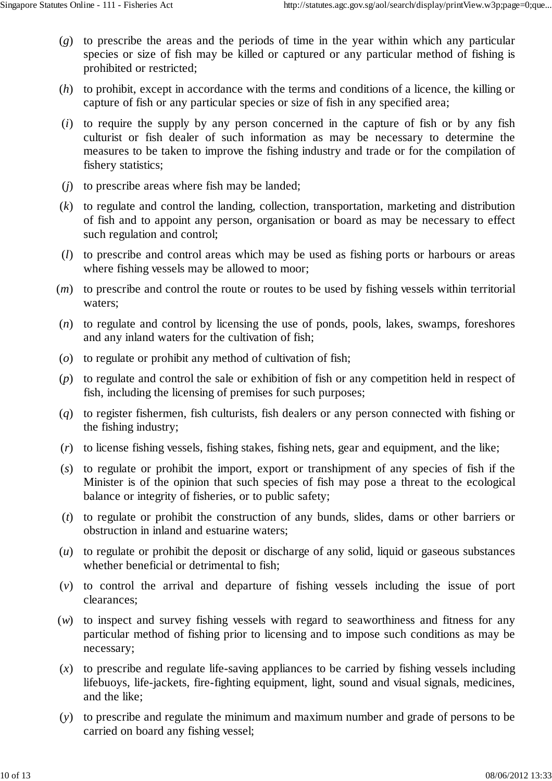- (*g*) to prescribe the areas and the periods of time in the year within which any particular species or size of fish may be killed or captured or any particular method of fishing is prohibited or restricted;
- (*h*) to prohibit, except in accordance with the terms and conditions of a licence, the killing or capture of fish or any particular species or size of fish in any specified area;
- (*i*) to require the supply by any person concerned in the capture of fish or by any fish culturist or fish dealer of such information as may be necessary to determine the measures to be taken to improve the fishing industry and trade or for the compilation of fishery statistics;
- (*j*) to prescribe areas where fish may be landed;
- (*k*) to regulate and control the landing, collection, transportation, marketing and distribution of fish and to appoint any person, organisation or board as may be necessary to effect such regulation and control;
- (*l*) to prescribe and control areas which may be used as fishing ports or harbours or areas where fishing vessels may be allowed to moor;
- (*m*) to prescribe and control the route or routes to be used by fishing vessels within territorial waters;
- (*n*) to regulate and control by licensing the use of ponds, pools, lakes, swamps, foreshores and any inland waters for the cultivation of fish;
- (*o*) to regulate or prohibit any method of cultivation of fish;
- (*p*) to regulate and control the sale or exhibition of fish or any competition held in respect of fish, including the licensing of premises for such purposes;
- (*q*) to register fishermen, fish culturists, fish dealers or any person connected with fishing or the fishing industry;
- (*r*) to license fishing vessels, fishing stakes, fishing nets, gear and equipment, and the like;
- (*s*) to regulate or prohibit the import, export or transhipment of any species of fish if the Minister is of the opinion that such species of fish may pose a threat to the ecological balance or integrity of fisheries, or to public safety;
- (*t*) to regulate or prohibit the construction of any bunds, slides, dams or other barriers or obstruction in inland and estuarine waters;
- (*u*) to regulate or prohibit the deposit or discharge of any solid, liquid or gaseous substances whether beneficial or detrimental to fish;
- (*v*) to control the arrival and departure of fishing vessels including the issue of port clearances;
- (*w*) to inspect and survey fishing vessels with regard to seaworthiness and fitness for any particular method of fishing prior to licensing and to impose such conditions as may be necessary;
- (*x*) to prescribe and regulate life-saving appliances to be carried by fishing vessels including lifebuoys, life-jackets, fire-fighting equipment, light, sound and visual signals, medicines, and the like;
- (*y*) to prescribe and regulate the minimum and maximum number and grade of persons to be carried on board any fishing vessel;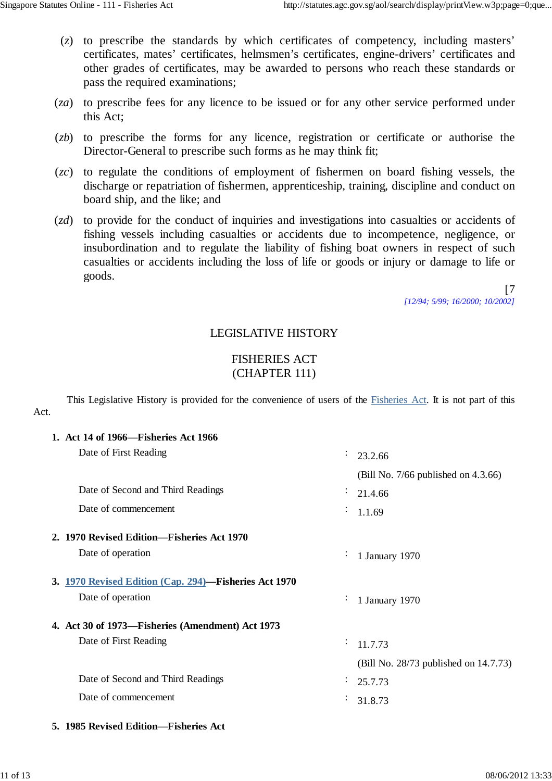- (*z*) to prescribe the standards by which certificates of competency, including masters' certificates, mates' certificates, helmsmen's certificates, engine-drivers' certificates and other grades of certificates, may be awarded to persons who reach these standards or pass the required examinations;
- (*za*) to prescribe fees for any licence to be issued or for any other service performed under this Act;
- (*zb*) to prescribe the forms for any licence, registration or certificate or authorise the Director-General to prescribe such forms as he may think fit;
- (*zc*) to regulate the conditions of employment of fishermen on board fishing vessels, the discharge or repatriation of fishermen, apprenticeship, training, discipline and conduct on board ship, and the like; and
- (*zd*) to provide for the conduct of inquiries and investigations into casualties or accidents of fishing vessels including casualties or accidents due to incompetence, negligence, or insubordination and to regulate the liability of fishing boat owners in respect of such casualties or accidents including the loss of life or goods or injury or damage to life or goods.

[7 *[12/94; 5/99; 16/2000; 10/2002]*

# LEGISLATIVE HISTORY

# FISHERIES ACT (CHAPTER 111)

This Legislative History is provided for the convenience of users of the Fisheries Act. It is not part of this Act.

| 1. Act 14 of 1966—Fisheries Act 1966                  |                                          |
|-------------------------------------------------------|------------------------------------------|
| Date of First Reading                                 | $\ddot{\cdot}$<br>23.2.66                |
|                                                       | (Bill No. $7/66$ published on $4.3.66$ ) |
| Date of Second and Third Readings                     | ÷<br>21.4.66                             |
| Date of commencement                                  | $\frac{1}{1.1.69}$                       |
| 2. 1970 Revised Edition-Fisheries Act 1970            |                                          |
| Date of operation                                     | 1 January 1970<br>$\bullet$              |
| 3. 1970 Revised Edition (Cap. 294)-Fisheries Act 1970 |                                          |
| Date of operation                                     | 1 January 1970<br>$\bullet$              |
| 4. Act 30 of 1973—Fisheries (Amendment) Act 1973      |                                          |
| Date of First Reading                                 | ÷.<br>11.7.73                            |
|                                                       | (Bill No. 28/73 published on 14.7.73)    |
| Date of Second and Third Readings                     | 25.7.73<br>$\bullet$                     |
| Date of commencement                                  | 31.8.73                                  |
|                                                       |                                          |

**5. 1985 Revised Edition—Fisheries Act**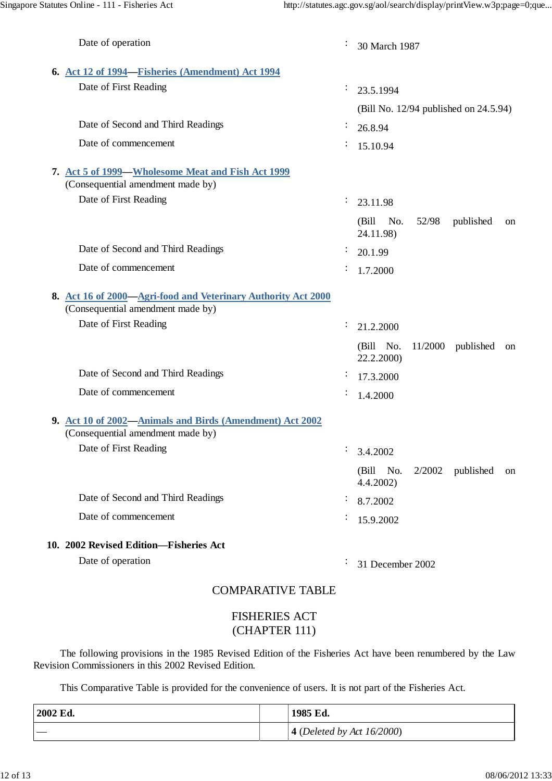| Date of operation                                                                                  | $\ddot{\cdot}$ | 30 March 1987                                         |  |  |  |
|----------------------------------------------------------------------------------------------------|----------------|-------------------------------------------------------|--|--|--|
| 6. Act 12 of 1994—Fisheries (Amendment) Act 1994                                                   |                |                                                       |  |  |  |
| Date of First Reading                                                                              | ÷              | 23.5.1994                                             |  |  |  |
|                                                                                                    |                | (Bill No. 12/94 published on 24.5.94)                 |  |  |  |
| Date of Second and Third Readings                                                                  |                | 26.8.94                                               |  |  |  |
| Date of commencement                                                                               | ÷              | 15.10.94                                              |  |  |  |
| 7. Act 5 of 1999—Wholesome Meat and Fish Act 1999<br>(Consequential amendment made by)             |                |                                                       |  |  |  |
| Date of First Reading                                                                              | ÷              | 23.11.98                                              |  |  |  |
|                                                                                                    |                | (Bill No.<br>52/98<br>published<br>on<br>24.11.98)    |  |  |  |
| Date of Second and Third Readings                                                                  | ÷              | 20.1.99                                               |  |  |  |
| Date of commencement                                                                               | ÷              | 1.7.2000                                              |  |  |  |
| 8. Act 16 of 2000-Agri-food and Veterinary Authority Act 2000<br>(Consequential amendment made by) |                |                                                       |  |  |  |
| Date of First Reading                                                                              | ÷              | 21.2.2000                                             |  |  |  |
|                                                                                                    |                | (Bill No.<br>11/2000<br>published<br>on<br>22.2.2000) |  |  |  |
| Date of Second and Third Readings                                                                  | ÷              | 17.3.2000                                             |  |  |  |
| Date of commencement                                                                               |                | 1.4.2000                                              |  |  |  |
| 9. Act 10 of 2002-Animals and Birds (Amendment) Act 2002<br>(Consequential amendment made by)      |                |                                                       |  |  |  |
| Date of First Reading                                                                              | ÷.             | 3.4.2002                                              |  |  |  |
|                                                                                                    |                | (Bill No.<br>$2/2002$ published<br>on<br>4.4.2002     |  |  |  |
| Date of Second and Third Readings                                                                  |                | 8.7.2002                                              |  |  |  |
| Date of commencement                                                                               |                | 15.9.2002                                             |  |  |  |
| 10. 2002 Revised Edition-Fisheries Act                                                             |                |                                                       |  |  |  |
| Date of operation                                                                                  |                | 31 December 2002                                      |  |  |  |
| $\cap$ MDAD ATIVE TARI E                                                                           |                |                                                       |  |  |  |

# COMPARATIVE TABLE

### FISHERIES ACT (CHAPTER 111)

The following provisions in the 1985 Revised Edition of the Fisheries Act have been renumbered by the Law Revision Commissioners in this 2002 Revised Edition.

This Comparative Table is provided for the convenience of users. It is not part of the Fisheries Act.

| 2002 Ed. | 1985 Ed.                                   |
|----------|--------------------------------------------|
| $\sim$   | <b>4</b> ( <i>Deleted by Act 16/2000</i> ) |